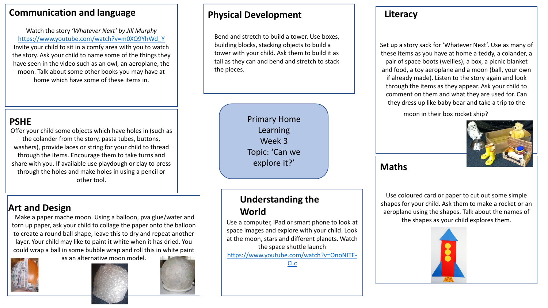## **Communication and language**

Watch the story *'Whatever Next' by Jill Murphy* [https://www.youtube.com/watch?v=m0XQ9YhWd\\_Y](https://www.youtube.com/watch?v=m0XQ9YhWd_Y) Invite your child to sit in a comfy area with you to watch the story. Ask your child to name some of the things they have seen in the video such as an owl, an aeroplane, the moon. Talk about some other books you may have at home which have some of these items in.

## **PSHE**

Offer your child some objects which have holes in (such as the colander from the story, pasta tubes, buttons, washers), provide laces or string for your child to thread through the items. Encourage them to take turns and share with you. If available use playdough or clay to press through the holes and make holes in using a pencil or other tool.

# **Art and Design**

Make a paper mache moon. Using a balloon, pva glue/water and torn up paper, ask your child to collage the paper onto the balloon to create a round ball shape, leave this to dry and repeat another layer. Your child may like to paint it white when it has dried. You could wrap a ball in some bubble wrap and roll this in white paint



as an alternative moon model.



## **Physical Development Literacy**

Bend and stretch to build a tower. Use boxes, building blocks, stacking objects to build a tower with your child. Ask them to build it as tall as they can and bend and stretch to stack the pieces.

> Primary Home Learning Week 3 Topic: 'Can we explore it?'

# **Understanding the World**

Use a computer, iPad or smart phone to look at space images and explore with your child. Look at the moon, stars and different planets. Watch the space shuttle launch [https://www.youtube.com/watch?v=OnoNITE-](https://www.youtube.com/watch?v=OnoNITE-CLc)CLc

Set up a story sack for 'Whatever Next'. Use as many of these items as you have at home a teddy, a colander, a pair of space boots (wellies), a box, a picnic blanket and food, a toy aeroplane and a moon (ball, your own if already made). Listen to the story again and look through the items as they appear. Ask your child to comment on them and what they are used for. Can they dress up like baby bear and take a trip to the

moon in their box rocket ship?



### **Maths**

Use coloured card or paper to cut out some simple shapes for your child. Ask them to make a rocket or an aeroplane using the shapes. Talk about the names of the shapes as your child explores them.